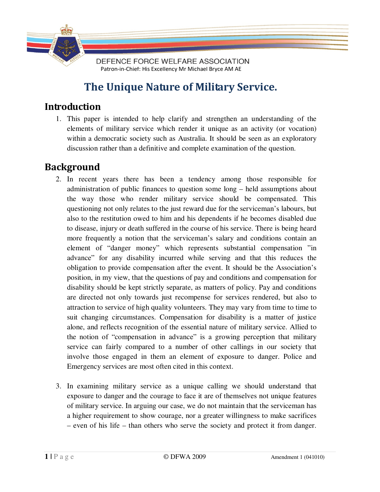

# **The Unique Nature of Military Service.**

## **Introduction**

1. This paper is intended to help clarify and strengthen an understanding of the elements of military service which render it unique as an activity (or vocation) within a democratic society such as Australia. It should be seen as an exploratory discussion rather than a definitive and complete examination of the question.

# **Background**

- 2. In recent years there has been a tendency among those responsible for administration of public finances to question some long – held assumptions about the way those who render military service should be compensated. This questioning not only relates to the just reward due for the serviceman's labours, but also to the restitution owed to him and his dependents if he becomes disabled due to disease, injury or death suffered in the course of his service. There is being heard more frequently a notion that the serviceman's salary and conditions contain an element of "danger money" which represents substantial compensation "in advance" for any disability incurred while serving and that this reduces the obligation to provide compensation after the event. It should be the Association's position, in my view, that the questions of pay and conditions and compensation for disability should be kept strictly separate, as matters of policy. Pay and conditions are directed not only towards just recompense for services rendered, but also to attraction to service of high quality volunteers. They may vary from time to time to suit changing circumstances. Compensation for disability is a matter of justice alone, and reflects recognition of the essential nature of military service. Allied to the notion of "compensation in advance" is a growing perception that military service can fairly compared to a number of other callings in our society that involve those engaged in them an element of exposure to danger. Police and Emergency services are most often cited in this context.
- 3. In examining military service as a unique calling we should understand that exposure to danger and the courage to face it are of themselves not unique features of military service. In arguing our case, we do not maintain that the serviceman has a higher requirement to show courage, nor a greater willingness to make sacrifices – even of his life – than others who serve the society and protect it from danger.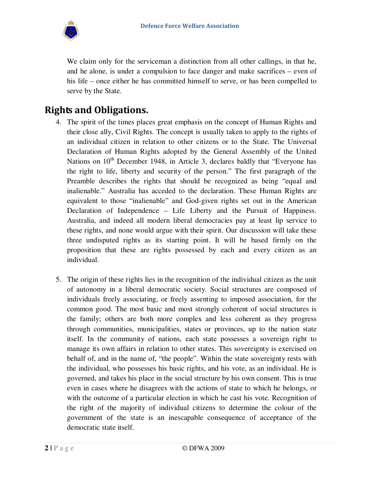

We claim only for the serviceman a distinction from all other callings, in that he, and he alone, is under a compulsion to face danger and make sacrifices – even of his life – once either he has committed himself to serve, or has been compelled to serve by the State.

# **Rights and Obligations.**

- 4. The spirit of the times places great emphasis on the concept of Human Rights and their close ally, Civil Rights. The concept is usually taken to apply to the rights of an individual citizen in relation to other citizens or to the State. The Universal Declaration of Human Rights adopted by the General Assembly of the United Nations on  $10<sup>th</sup>$  December 1948, in Article 3, declares baldly that "Everyone has the right to life, liberty and security of the person." The first paragraph of the Preamble describes the rights that should be recognized as being "equal and inalienable." Australia has acceded to the declaration. These Human Rights are equivalent to those "inalienable" and God-given rights set out in the American Declaration of Independence – Life Liberty and the Pursuit of Happiness. Australia, and indeed all modern liberal democracies pay at least lip service to these rights, and none would argue with their spirit. Our discussion will take these three undisputed rights as its starting point. It will be based firmly on the proposition that these are rights possessed by each and every citizen as an individual.
- 5. The origin of these rights lies in the recognition of the individual citizen as the unit of autonomy in a liberal democratic society. Social structures are composed of individuals freely associating, or freely assenting to imposed association, for the common good. The most basic and most strongly coherent of social structures is the family; others are both more complex and less coherent as they progress through communities, municipalities, states or provinces, up to the nation state itself. In the community of nations, each state possesses a sovereign right to manage its own affairs in relation to other states. This sovereignty is exercised on behalf of, and in the name of, "the people". Within the state sovereignty rests with the individual, who possesses his basic rights, and his vote, as an individual. He is governed, and takes his place in the social structure by his own consent. This is true even in cases where he disagrees with the actions of state to which he belongs, or with the outcome of a particular election in which he cast his vote. Recognition of the right of the majority of individual citizens to determine the colour of the government of the state is an inescapable consequence of acceptance of the democratic state itself.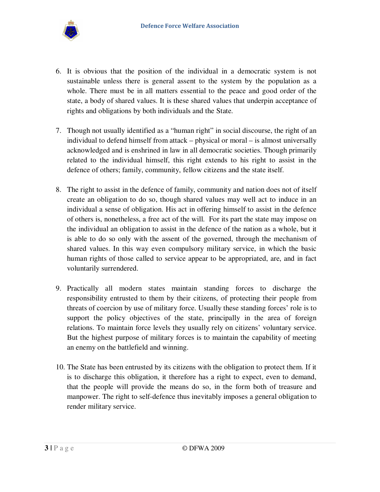

- 6. It is obvious that the position of the individual in a democratic system is not sustainable unless there is general assent to the system by the population as a whole. There must be in all matters essential to the peace and good order of the state, a body of shared values. It is these shared values that underpin acceptance of rights and obligations by both individuals and the State.
- 7. Though not usually identified as a "human right" in social discourse, the right of an individual to defend himself from attack – physical or moral – is almost universally acknowledged and is enshrined in law in all democratic societies. Though primarily related to the individual himself, this right extends to his right to assist in the defence of others; family, community, fellow citizens and the state itself.
- 8. The right to assist in the defence of family, community and nation does not of itself create an obligation to do so, though shared values may well act to induce in an individual a sense of obligation. His act in offering himself to assist in the defence of others is, nonetheless, a free act of the will. For its part the state may impose on the individual an obligation to assist in the defence of the nation as a whole, but it is able to do so only with the assent of the governed, through the mechanism of shared values. In this way even compulsory military service, in which the basic human rights of those called to service appear to be appropriated, are, and in fact voluntarily surrendered.
- 9. Practically all modern states maintain standing forces to discharge the responsibility entrusted to them by their citizens, of protecting their people from threats of coercion by use of military force. Usually these standing forces' role is to support the policy objectives of the state, principally in the area of foreign relations. To maintain force levels they usually rely on citizens' voluntary service. But the highest purpose of military forces is to maintain the capability of meeting an enemy on the battlefield and winning.
- 10. The State has been entrusted by its citizens with the obligation to protect them. If it is to discharge this obligation, it therefore has a right to expect, even to demand, that the people will provide the means do so, in the form both of treasure and manpower. The right to self-defence thus inevitably imposes a general obligation to render military service.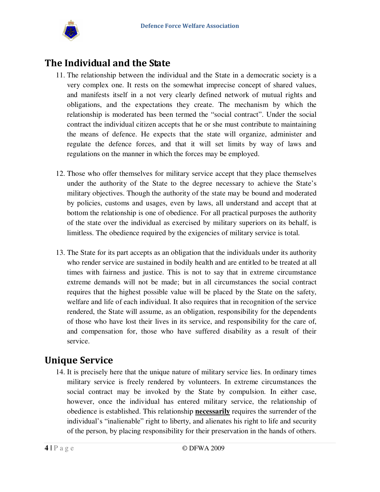

## **The Individual and the State**

- 11. The relationship between the individual and the State in a democratic society is a very complex one. It rests on the somewhat imprecise concept of shared values, and manifests itself in a not very clearly defined network of mutual rights and obligations, and the expectations they create. The mechanism by which the relationship is moderated has been termed the "social contract". Under the social contract the individual citizen accepts that he or she must contribute to maintaining the means of defence. He expects that the state will organize, administer and regulate the defence forces, and that it will set limits by way of laws and regulations on the manner in which the forces may be employed.
- 12. Those who offer themselves for military service accept that they place themselves under the authority of the State to the degree necessary to achieve the State's military objectives. Though the authority of the state may be bound and moderated by policies, customs and usages, even by laws, all understand and accept that at bottom the relationship is one of obedience. For all practical purposes the authority of the state over the individual as exercised by military superiors on its behalf, is limitless. The obedience required by the exigencies of military service is total.
- 13. The State for its part accepts as an obligation that the individuals under its authority who render service are sustained in bodily health and are entitled to be treated at all times with fairness and justice. This is not to say that in extreme circumstance extreme demands will not be made; but in all circumstances the social contract requires that the highest possible value will be placed by the State on the safety, welfare and life of each individual. It also requires that in recognition of the service rendered, the State will assume, as an obligation, responsibility for the dependents of those who have lost their lives in its service, and responsibility for the care of, and compensation for, those who have suffered disability as a result of their service.

# **Unique Service**

14. It is precisely here that the unique nature of military service lies. In ordinary times military service is freely rendered by volunteers. In extreme circumstances the social contract may be invoked by the State by compulsion. In either case, however, once the individual has entered military service, the relationship of obedience is established. This relationship **necessarily** requires the surrender of the individual's "inalienable" right to liberty, and alienates his right to life and security of the person, by placing responsibility for their preservation in the hands of others.